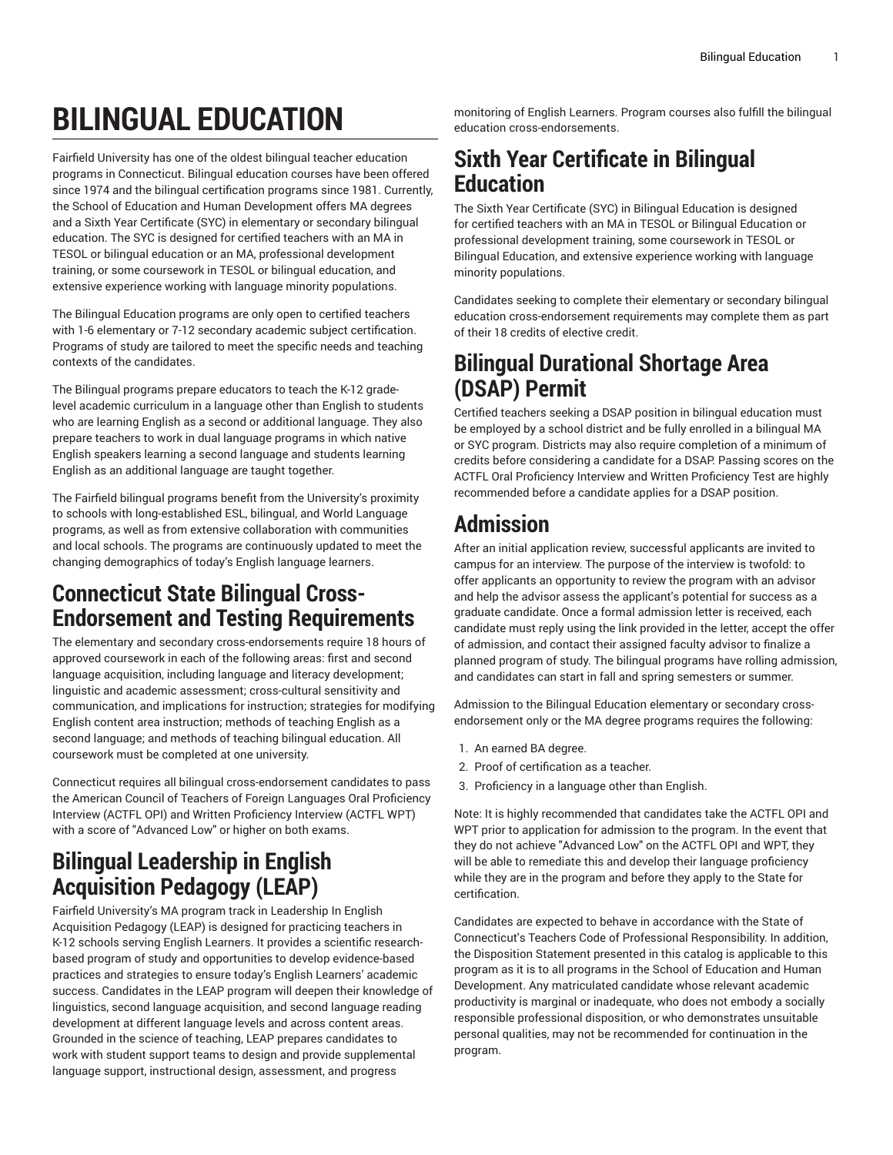# **BILINGUAL EDUCATION**

Fairfield University has one of the oldest bilingual teacher education programs in Connecticut. Bilingual education courses have been offered since 1974 and the bilingual certification programs since 1981. Currently, the School of Education and Human Development offers MA degrees and a Sixth Year Certificate (SYC) in elementary or secondary bilingual education. The SYC is designed for certified teachers with an MA in TESOL or bilingual education or an MA, professional development training, or some coursework in TESOL or bilingual education, and extensive experience working with language minority populations.

The Bilingual Education programs are only open to certified teachers with 1-6 elementary or 7-12 secondary academic subject certification. Programs of study are tailored to meet the specific needs and teaching contexts of the candidates.

The Bilingual programs prepare educators to teach the K-12 gradelevel academic curriculum in a language other than English to students who are learning English as a second or additional language. They also prepare teachers to work in dual language programs in which native English speakers learning a second language and students learning English as an additional language are taught together.

The Fairfield bilingual programs benefit from the University's proximity to schools with long-established ESL, bilingual, and World Language programs, as well as from extensive collaboration with communities and local schools. The programs are continuously updated to meet the changing demographics of today's English language learners.

## **Connecticut State Bilingual Cross-Endorsement and Testing Requirements**

The elementary and secondary cross-endorsements require 18 hours of approved coursework in each of the following areas: first and second language acquisition, including language and literacy development; linguistic and academic assessment; cross-cultural sensitivity and communication, and implications for instruction; strategies for modifying English content area instruction; methods of teaching English as a second language; and methods of teaching bilingual education. All coursework must be completed at one university.

Connecticut requires all bilingual cross-endorsement candidates to pass the American Council of Teachers of Foreign Languages Oral Proficiency Interview (ACTFL OPI) and Written Proficiency Interview (ACTFL WPT) with a score of "Advanced Low" or higher on both exams.

# **Bilingual Leadership in English Acquisition Pedagogy (LEAP)**

Fairfield University's MA program track in Leadership In English Acquisition Pedagogy (LEAP) is designed for practicing teachers in K-12 schools serving English Learners. It provides a scientific researchbased program of study and opportunities to develop evidence-based practices and strategies to ensure today's English Learners' academic success. Candidates in the LEAP program will deepen their knowledge of linguistics, second language acquisition, and second language reading development at different language levels and across content areas. Grounded in the science of teaching, LEAP prepares candidates to work with student support teams to design and provide supplemental language support, instructional design, assessment, and progress

monitoring of English Learners. Program courses also fulfill the bilingual education cross-endorsements.

#### **Sixth Year Certificate in Bilingual Education**

The Sixth Year Certificate (SYC) in Bilingual Education is designed for certified teachers with an MA in TESOL or Bilingual Education or professional development training, some coursework in TESOL or Bilingual Education, and extensive experience working with language minority populations.

Candidates seeking to complete their elementary or secondary bilingual education cross-endorsement requirements may complete them as part of their 18 credits of elective credit.

## **Bilingual Durational Shortage Area (DSAP) Permit**

Certified teachers seeking a DSAP position in bilingual education must be employed by a school district and be fully enrolled in a bilingual MA or SYC program. Districts may also require completion of a minimum of credits before considering a candidate for a DSAP. Passing scores on the ACTFL Oral Proficiency Interview and Written Proficiency Test are highly recommended before a candidate applies for a DSAP position.

# **Admission**

After an initial application review, successful applicants are invited to campus for an interview. The purpose of the interview is twofold: to offer applicants an opportunity to review the program with an advisor and help the advisor assess the applicant's potential for success as a graduate candidate. Once a formal admission letter is received, each candidate must reply using the link provided in the letter, accept the offer of admission, and contact their assigned faculty advisor to finalize a planned program of study. The bilingual programs have rolling admission, and candidates can start in fall and spring semesters or summer.

Admission to the Bilingual Education elementary or secondary crossendorsement only or the MA degree programs requires the following:

- 1. An earned BA degree.
- 2. Proof of certification as a teacher.
- 3. Proficiency in a language other than English.

Note: It is highly recommended that candidates take the ACTFL OPI and WPT prior to application for admission to the program. In the event that they do not achieve "Advanced Low" on the ACTFL OPI and WPT, they will be able to remediate this and develop their language proficiency while they are in the program and before they apply to the State for certification.

Candidates are expected to behave in accordance with the State of Connecticut's Teachers Code of Professional Responsibility. In addition, the Disposition Statement presented in this catalog is applicable to this program as it is to all programs in the School of Education and Human Development. Any matriculated candidate whose relevant academic productivity is marginal or inadequate, who does not embody a socially responsible professional disposition, or who demonstrates unsuitable personal qualities, may not be recommended for continuation in the program.